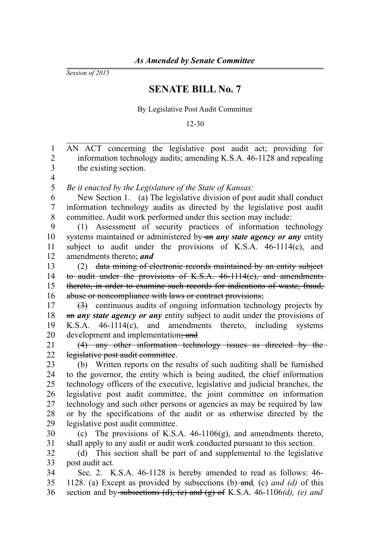*Session of 2015*

## **SENATE BILL No. 7**

By Legislative Post Audit Committee

12-30

AN ACT concerning the legislative post audit act; providing for information technology audits; amending K.S.A. 46-1128 and repealing the existing section. *Be it enacted by the Legislature of the State of Kansas:* New Section 1. (a) The legislative division of post audit shall conduct information technology audits as directed by the legislative post audit committee. Audit work performed under this section may include: (1) Assessment of security practices of information technology systems maintained or administered by an *any state agency or any* entity subject to audit under the provisions of K.S.A.  $46-1114(c)$ , and amendments thereto; *and* (2) data mining of electronic records maintained by an entity subject to audit under the provisions of K.S.A. 46-1114(c), and amendments thereto, in order to examine such records for indications of waste, fraud, abuse or noncompliance with laws or contract provisions; (3) continuous audits of ongoing information technology projects by an *any state agency or any* entity subject to audit under the provisions of K.S.A. 46-1114(c), and amendments thereto, including systems development and implementation; and (4) any other information technology issues as directed by the legislative post audit committee. (b) Written reports on the results of such auditing shall be furnished to the governor, the entity which is being audited, the chief information technology officers of the executive, legislative and judicial branches, the legislative post audit committee, the joint committee on information technology and such other persons or agencies as may be required by law or by the specifications of the audit or as otherwise directed by the legislative post audit committee. (c) The provisions of K.S.A. 46-1106(g), and amendments thereto, shall apply to any audit or audit work conducted pursuant to this section. (d) This section shall be part of and supplemental to the legislative post audit act. Sec. 2. K.S.A. 46-1128 is hereby amended to read as follows: 46- 1128. (a) Except as provided by subsections (b) and*,* (c) *and (d)* of this section and by subsections (d), (e) and (g) of K.S.A. 46-1106*(d), (e) and* 1 2 3 4 5 6 7 8 9 10 11 12 13 14 15 16 17 18 19 20 21 22 23 24 25 26 27 28 29 30 31 32 33 34 35 36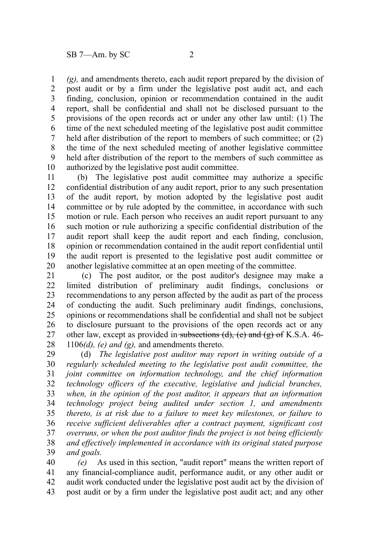*(g),* and amendments thereto, each audit report prepared by the division of post audit or by a firm under the legislative post audit act, and each finding, conclusion, opinion or recommendation contained in the audit report, shall be confidential and shall not be disclosed pursuant to the provisions of the open records act or under any other law until: (1) The time of the next scheduled meeting of the legislative post audit committee held after distribution of the report to members of such committee; or  $(2)$ the time of the next scheduled meeting of another legislative committee held after distribution of the report to the members of such committee as authorized by the legislative post audit committee. 1 2 3 4 5 6 7 8 9 10

(b) The legislative post audit committee may authorize a specific confidential distribution of any audit report, prior to any such presentation of the audit report, by motion adopted by the legislative post audit committee or by rule adopted by the committee, in accordance with such motion or rule. Each person who receives an audit report pursuant to any such motion or rule authorizing a specific confidential distribution of the audit report shall keep the audit report and each finding, conclusion, opinion or recommendation contained in the audit report confidential until the audit report is presented to the legislative post audit committee or another legislative committee at an open meeting of the committee. 11 12 13 14 15 16 17 18 19 20

(c) The post auditor, or the post auditor's designee may make a limited distribution of preliminary audit findings, conclusions or recommendations to any person affected by the audit as part of the process of conducting the audit. Such preliminary audit findings, conclusions, opinions or recommendations shall be confidential and shall not be subject to disclosure pursuant to the provisions of the open records act or any other law, except as provided in subsections  $(d)$ ,  $(e)$  and  $(g)$  of K.S.A. 46-1106*(d), (e) and (g),* and amendments thereto. 21 22 23 24 25 26 27 28

(d) *The legislative post auditor may report in writing outside of a regularly scheduled meeting to the legislative post audit committee, the joint committee on information technology, and the chief information technology officers of the executive, legislative and judicial branches, when, in the opinion of the post auditor, it appears that an information technology project being audited under section 1, and amendments thereto, is at risk due to a failure to meet key milestones, or failure to receive sufficient deliverables after a contract payment, significant cost overruns, or when the post auditor finds the project is not being efficiently and effectively implemented in accordance with its original stated purpose and goals.* 29 30 31 32 33 34 35 36 37 38 39

*(e)* As used in this section, "audit report" means the written report of any financial-compliance audit, performance audit, or any other audit or audit work conducted under the legislative post audit act by the division of post audit or by a firm under the legislative post audit act; and any other 40 41 42 43